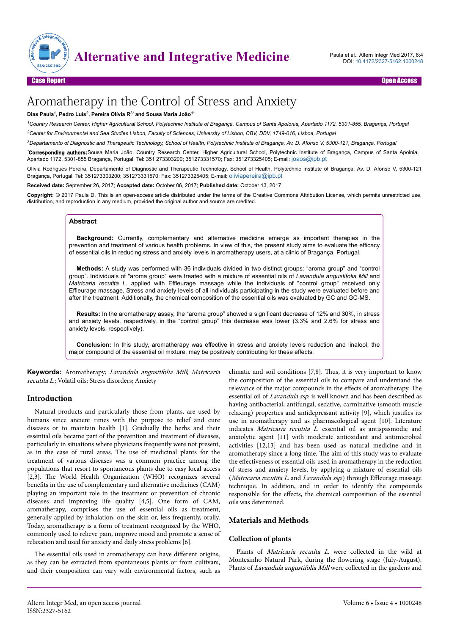

# Aromatherapy in the Control of Stress and Anxiety

#### **Dias Paula**<sup>1</sup> **, Pedro Luís**<sup>2</sup> **, Pereira Olívia R**3\* **and Sousa Maria João**1\*

*<sup>1</sup>Country Research Center, Higher Agricultural School, Polytechnic Institute of Bragança, Campus of Santa Apolónia, Apartado 1172, 5301-855, Bragança, Portugal <sup>2</sup>Center for Environmental and Sea Studies Lisbon, Faculty of Sciences, University of Lisbon, CBV, DBV, 1749-016, Lisboa, Portugal*

*<sup>3</sup>Departamento of Diagnostic and Therapeutic Technology, School of Health, Polytechnic Institute of Bragança, Av. D. Afonso V, 5300-121, Bragança, Portugal*

*\****Corresponding authors:**Sousa Maria João, Country Research Center, Higher Agricultural School, Polytechnic Institute of Bragança, Campus of Santa Apolynia, Apartado 1172, 5301-855 Bragança, Portugal. Tel: 351 273303200; 351273331570; Fax: 351273325405; E-mail: [joaos@ipb.pt](mailto:joaos@ipb.pt)

Olívia Rodrigues Pereira, Departamento of Diagnostic and Therapeutic Technology, School of Health, Polytechnic Institute of Bragança, Av. D. Afonso V, 5300-121 Bragança, Portugal, Tel: 351273303200; 351273331570; Fax: 351273325405; E-mail: [oliviapereira@ipb.pt](mailto:oliviapereira@ipb.pt)

**Received date:** September 26, 2017; **Accepted date:** October 06, 2017; **Published date:** October 13, 2017

**Copyright:** © 2017 Paula D. This is an open-access article distributed under the terms of the Creative Commons Attribution License, which permits unrestricted use, distribution, and reproduction in any medium, provided the original author and source are credited.

# **Abstract**

**Background:** Currently, complementary and alternative medicine emerge as important therapies in the prevention and treatment of various health problems. In view of this, the present study aims to evaluate the efficacy of essential oils in reducing stress and anxiety levels in aromatherapy users, at a clinic of Bragança, Portugal.

**Methods:** A study was performed with 36 individuals divided in two distinct groups: "aroma group" and "control group". Individuals of "aroma group" were treated with a mixture of essential oils of *Lavandula angustifolia Mill* and *Matricaria recutita L.* applied with Effleurage massage while the individuals of "control group" received only Effleurage massage. Stress and anxiety levels of all individuals participating in the study were evaluated before and after the treatment. Additionally, the chemical composition of the essential oils was evaluated by GC and GC-MS.

**Results:** In the aromatherapy assay, the "aroma group" showed a significant decrease of 12% and 30%, in stress and anxiety levels, respectively, in the "control group" this decrease was lower (3.3% and 2.6% for stress and anxiety levels, respectively).

**Conclusion:** In this study, aromatherapy was effective in stress and anxiety levels reduction and linalool, the major compound of the essential oil mixture, may be positively contributing for these effects.

**Keywords:** Aromatherapy; Lavandula angustifolia Mill; Matricaria recutita L.; Volatil oils; Stress disorders; Anxiety

# **Introduction**

Natural products and particularly those from plants, are used by humans since ancient times with the purpose to relief and cure diseases or to maintain health [1]. Gradually the herbs and their essential oils became part of the prevention and treatment of diseases, particularly in situations where physicians frequently were not present, as in the case of rural areas. Нe use of medicinal plants for the treatment of various diseases was a common practice among the populations that resort to spontaneous plants due to easy local access [2,3]. The World Health Organization (WHO) recognizes several benefits in the use of complementary and alternative medicines (CAM) playing an important role in the treatment or prevention of chronic diseases and improving life quality [4,5]. One form of CAM, aromatherapy, comprises the use of essential oils as treatment, generally applied by inhalation, on the skin or, less frequently, orally. Today, aromatherapy is a form of treatment recognized by the WHO, commonly used to relieve pain, improve mood and promote a sense of relaxation and used for anxiety and daily stress problems [6].

The essential oils used in aromatherapy can have different origins, as they can be extracted from spontaneous plants or from cultivars, and their composition can vary with environmental factors, such as

climatic and soil conditions [7,8]. Нus, it is very important to know the composition of the essential oils to compare and understand the relevance of the major compounds in the effects of aromatherapy. The essential oil of Lavandula ssp. is well known and has been described as having antibacterial, antifungal, sedative, carminative (smooth muscle relaxing) properties and antidepressant activity [9], which justifies its use in aromatherapy and as pharmacological agent [10]. Literature indicates Matricaria recutita L. essential oil as antispasmodic and anxiolytic agent [11] with moderate antioxidant and antimicrobial activities [12,13] and has been used as natural medicine and in aromatherapy since a long time. Нe aim of this study was to evaluate the effectiveness of essential oils used in aromatherapy in the reduction of stress and anxiety levels, by applying a mixture of essential oils (Matricaria recutita L. and Lavandula ssp.) through Effleurage massage technique. In addition, and in order to identify the compounds responsible for the effects, the chemical composition of the essential oils was determined.

# **Materials and Methods**

#### **Collection of plants**

Plants of Matricaria recutita L. were collected in the wild at Montesinho Natural Park, during the flowering stage (July-August). Plants of Lavandula angustifolia Mill were collected in the gardens and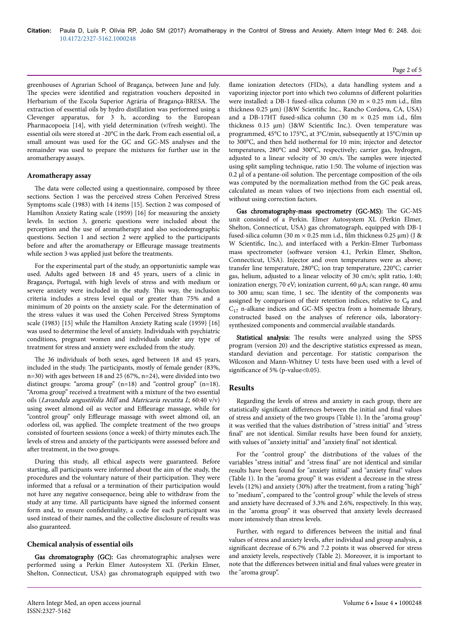greenhouses of Agrarian School of Bragança, between June and July. The species were identified and registration vouchers deposited in Herbarium of the Escola Superior Agrária of Bragança-BRESA. Нe extraction of essential oils by hydro distillation was performed using a Clevenger apparatus, for 3 h, according to the European Pharmacopoeia [14], with yield determination (v/fresh weight). Нe essential oils were stored at -20°C in the dark. From each essential oil, a small amount was used for the GC and GC-MS analyses and the remainder was used to prepare the mixtures for further use in the aromatherapy assays.

#### **Aromatherapy assay**

The data were collected using a questionnaire, composed by three sections. Section 1 was the perceived stress Cohen Perceived Stress Symptoms scale (1983) with 14 items [15]. Section 2 was composed of Hamilton Anxiety Rating scale (1959) [16] for measuring the anxiety levels. In section 3, generic questions were included about the perception and the use of aromatherapy and also sociodemographic questions. Section 1 and section 2 were applied to the participants before and after the aromatherapy or Effleurage massage treatments while section 3 was applied just before the treatments.

For the experimental part of the study, an opportunistic sample was used. Adults aged between 18 and 45 years, users of a clinic in Bragança, Portugal, with high levels of stress and with medium or severe anxiety were included in the study. Нis way, the inclusion criteria includes a stress level equal or greater than 75% and a minimum of 20 points on the anxiety scale. For the determination of the stress values it was used the Cohen Perceived Stress Symptoms scale (1983) [15] while the Hamilton Anxiety Rating scale (1959) [16] was used to determine the level of anxiety. Individuals with psychiatric conditions, pregnant women and individuals under any type of treatment for stress and anxiety were excluded from the study.

The 36 individuals of both sexes, aged between 18 and 45 years, included in the study. Нe participants, mostly of female gender (83%, n=30) with ages between 18 and 25 (67%, n=24), were divided into two distinct groups: "aroma group"  $(n=18)$  and "control group"  $(n=18)$ . "Aroma group" received a treatment with a mixture of the two essential oils (Lavandula angustifolia Mill and Matricaria recutita <sup>L</sup>; 60:40 v/v) using sweet almond oil as vector and Effleurage massage, while for "control group" only Effleurage massage with sweet almond oil, an odorless oil, was applied. Нe complete treatment of the two groups consisted of fourteen sessions (once a week) of thirty minutes each. The levels of stress and anxiety of the participants were assessed before and after treatment, in the two groups.

During this study, all ethical aspects were guaranteed. Before starting, all participants were informed about the aim of the study, the procedures and the voluntary nature of their participation. They were informed that a refusal or a termination of their participation would not have any negative consequence, being able to withdraw from the study at any time. All participants have signed the informed consent form and, to ensure confidentiality, a code for each participant was used instead of their names, and the collective disclosure of results was also guaranteed.

#### **Chemical analysis of essential oils**

Gas chromatography (GC): Gas chromatographic analyses were performed using a Perkin Elmer Autosystem XL (Perkin Elmer, Shelton, Connecticut, USA) gas chromatograph equipped with two flame ionization detectors (FIDs), a data handling system and a vaporizing injector port into which two columns of different polarities were installed: a DB-1 fused-silica column (30 m × 0.25 mm i.d., film thickness 0.25 μm) (J&W 6cientific Inc., Rancho Cordova, CA, USA) and a DB-17HT fused-silica column (30 m  $\times$  0.25 mm i.d., film thickness 0.15 μm) (J&W 6cientific Inc.). Oven temperature was programmed, 45°C to 175°C, at 3°C/min, subsequently at 15°C/min up to 300°C, and then held isothermal for 10 min; injector and detector temperatures, 280°C and 300°C, respectively; carrier gas, hydrogen, adjusted to a linear velocity of 30 cm/s. Нe samples were injected using split sampling technique, ratio 1:50. Нe volume of injection was 0.2 μl of a pentane-oil solution. Нe percentage composition of the oils was computed by the normalization method from the GC peak areas, calculated as mean values of two injections from each essential oil, without using correction factors.

Gas chromatography-mass spectrometry (GC-MS): The GC-MS unit consisted of a Perkin. Elmer Autosystem XL (Perkin Elmer, Shelton, Connecticut, USA) gas chromatograph, equipped with DB-1 fused-silica column (30 m  $\times$  0.25 mm i.d., film thickness 0.25 µm) (J & W 6cientific, Inc.), and interfaced with a Perkin-Elmer Turbomass mass spectrometer (software version 4.1, Perkin Elmer, Shelton, Connecticut, USA). Injector and oven temperatures were as above; transfer line temperature, 280°C; ion trap temperature, 220°C; carrier gas, helium, adjusted to a linear velocity of 30 cm/s; split ratio, 1:40; ionization energy, 70 eV; ionization current, 60 μA; scan range, 40 amu to 300 amu; scan time, 1 sec. Нe identity of the components was assigned by comparison of their retention indices, relative to  $C_9$  and  $C_{17}$  n-alkane indices and GC-MS spectra from a homemade library, constructed based on the analyses of reference oils, laboratorysynthesized components and commercial available standards.

Statistical analysis: The results were analyzed using the SPSS program (version 20) and the descriptive statistics expressed as mean, standard deviation and percentage. For statistic comparison the Wilcoxon and Mann-Whitney U tests have been used with a level of significance of 5% (p-value<0.05).

#### **Results**

Regarding the levels of stress and anxiety in each group, there are statistically significant differences between the initial and final values of stress and anxiety of the two groups (Table 1). In the "aroma group" it was verified that the values distribution of "stress initial" and "stress final" are not identical. Similar results have been found for anxiety, with values of "anxiety initial" and "anxiety final" not identical.

For the "control group" the distributions of the values of the variables "stress initial" and "stress final" are not identical and similar results have been found for "anxiety initial" and "anxiety final" values (Table 1). In the "aroma group" it was evident a decrease in the stress levels (12%) and anxiety (30%) after the treatment, from a rating "high" to "medium", compared to the "control group" while the levels of stress and anxiety have decreased of 3.3% and 2.6%, respectively. In this way, in the "aroma group" it was observed that anxiety levels decreased more intensively than stress levels.

Further, with regard to differences between the initial and final values of stress and anxiety levels, after individual and group analysis, a significant decrease of 6.7% and 7.2 points it was observed for stress and anxiety levels, respectively (Table 2). Moreover, it is important to note that the differences between initial and final values were greater in the "aroma group".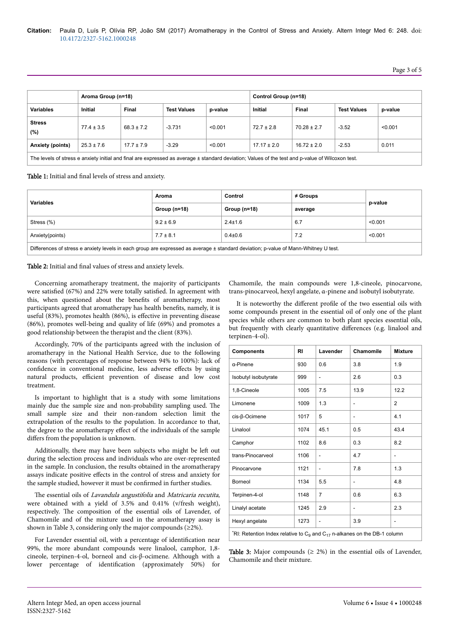|                         | Aroma Group (n=18) |                |                                                                                                                 | Control Group (n=18) |                 |                 |                    |         |
|-------------------------|--------------------|----------------|-----------------------------------------------------------------------------------------------------------------|----------------------|-----------------|-----------------|--------------------|---------|
| <b>Variables</b>        | <b>Initial</b>     | Final          | <b>Test Values</b>                                                                                              | p-value              | Initial         | Final           | <b>Test Values</b> | p-value |
| <b>Stress</b><br>(%)    | $77.4 \pm 3.5$     | $68.3 \pm 7.2$ | $-3.731$                                                                                                        | < 0.001              | $72.7 \pm 2.8$  | $70.28 \pm 2.7$ | $-3.52$            | < 0.001 |
| <b>Anxiety (points)</b> | $25.3 \pm 7.6$     | $17.7 \pm 7.9$ | $-3.29$                                                                                                         | < 0.001              | $17.17 \pm 2.0$ | $16.72 \pm 2.0$ | $-2.53$            | 0.011   |
|                         |                    |                | the contract of the contract of the contract of the contract of the contract of the contract of the contract of |                      |                 |                 |                    |         |

The levels of stress e anxiety initial and final are expressed as average ± standard deviation; Values of the test and p-value of Wilcoxon test.

## Table 1: Initial and final levels of stress and anxiety.

| <b>Variables</b>                                                                                                                    | Aroma          | Control        | $\neq$ Groups | p-value |  |  |  |
|-------------------------------------------------------------------------------------------------------------------------------------|----------------|----------------|---------------|---------|--|--|--|
|                                                                                                                                     | Group $(n=18)$ | Group $(n=18)$ | average       |         |  |  |  |
| Stress $(\%)$                                                                                                                       | $9.2 \pm 6.9$  | $2.4 \pm 1.6$  | 6.7           | < 0.001 |  |  |  |
| Anxiety(points)                                                                                                                     | $7.7 \pm 8.1$  | $0.4{\pm}0.6$  | 7.2           | < 0.001 |  |  |  |
| Differences of stress e anxiety levels in each group are expressed as average ± standard deviation; p-value of Mann-Whitney U test. |                |                |               |         |  |  |  |

Table 2: Initial and final values of stress and anxiety levels.

Concerning aromatherapy treatment, the majority of participants were satisfied (67%) and 22% were totally satisfied. In agreement with this, when questioned about the benefits of aromatherapy, most participants agreed that aromatherapy has health benefits, namely, it is useful (83%), promotes health (86%), is effective in preventing disease (86%), promotes well-being and quality of life (69%) and promotes a good relationship between the therapist and the client (83%).

Accordingly, 70% of the participants agreed with the inclusion of aromatherapy in the National Health Service, due to the following reasons (with percentages of response between 94% to 100%): lack of confidence in conventional medicine, less adverse effects by using natural products, efficient prevention of disease and low cost treatment.

Is important to highlight that is a study with some limitations mainly due the sample size and non-probability sampling used. Нe small sample size and their non-random selection limit the extrapolation of the results to the population. In accordance to that, the degree to the aromatherapy effect of the individuals of the sample differs from the population is unknown.

Additionally, there may have been subjects who might be left out during the selection process and individuals who are over-represented in the sample. In conclusion, the results obtained in the aromatherapy assays indicate positive effects in the control of stress and anxiety for the sample studied, however it must be confirmed in further studies.

The essential oils of Lavandula angustifolia and Matricaria recutita, were obtained with a yield of 3.5% and 0.41% (v/fresh weight), respectively. Нe composition of the essential oils of Lavender, of Chamomile and of the mixture used in the aromatherapy assay is shown in Table 3, considering only the major compounds  $(\geq 2\%)$ .

For Lavender essential oil, with a percentage of identification near 99%, the more abundant compounds were linalool, camphor, 1,8 cineole, terpinen-4-ol, borneol and cis-β-ocimene. Although with a lower percentage of identification (approximately 50%) for

Chamomile, the main compounds were 1,8-cineole, pinocarvone, trans-pinocarveol, hexyl angelate, α-pinene and isobutyl isobutyrate.

It is noteworthy the different profile of the two essential oils with some compounds present in the essential oil of only one of the plant species while others are common to both plant species essential oils, but frequently with clearly quantitative differences (e.g. linalool and terpinen-4-ol).

| <b>Components</b>                                                                                            | <b>RI</b> | Lavender       | Chamomile                | <b>Mixture</b> |  |  |  |
|--------------------------------------------------------------------------------------------------------------|-----------|----------------|--------------------------|----------------|--|--|--|
| $\alpha$ -Pinene                                                                                             | 930       | 0.6            | 3.8                      | 1.9            |  |  |  |
| Isobutyl isobutyrate                                                                                         | 999       | L,             | 2.6                      | 0.3            |  |  |  |
| 1,8-Cineole                                                                                                  | 1005      | 7.5            | 13.9                     | 12.2           |  |  |  |
| Limonene                                                                                                     | 1009      | 1.3            | $\overline{\phantom{0}}$ | $\overline{2}$ |  |  |  |
| cis-β-Ocimene                                                                                                | 1017      | 5              | $\overline{\phantom{0}}$ | 4.1            |  |  |  |
| Linalool                                                                                                     | 1074      | 45.1           | 0.5                      | 43.4           |  |  |  |
| Camphor                                                                                                      | 1102      | 8.6            | 0.3                      | 8.2            |  |  |  |
| trans-Pinocarveol                                                                                            | 1106      | $\overline{a}$ | 4.7                      | $\overline{a}$ |  |  |  |
| Pinocarvone                                                                                                  | 1121      | $\overline{a}$ | 7.8                      | 1.3            |  |  |  |
| <b>Borneol</b>                                                                                               | 1134      | 5.5            | $\overline{\phantom{0}}$ | 4.8            |  |  |  |
| Terpinen-4-ol                                                                                                | 1148      | $\overline{7}$ | 0.6                      | 6.3            |  |  |  |
| Linalyl acetate                                                                                              | 1245      | 2.9            | -                        | 2.3            |  |  |  |
| Hexyl angelate                                                                                               | 1273      | $\overline{a}$ | 3.9                      | $\overline{a}$ |  |  |  |
| <sup>*</sup> RI: Retention Index relative to C <sub>9</sub> and C <sub>17</sub> n-alkanes on the DB-1 column |           |                |                          |                |  |  |  |

**Table 3:** Major compounds ( $\geq$  2%) in the essential oils of Lavender, Chamomile and their mixture.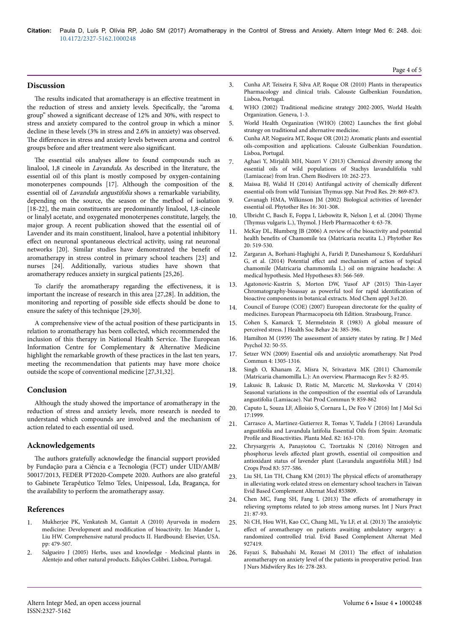### **Discussion**

The results indicated that aromatherapy is an effective treatment in the reduction of stress and anxiety levels. Specifically, the "aroma group" showed a significant decrease of 12% and 30%, with respect to stress and anxiety compared to the control group in which a minor decline in these levels (3% in stress and 2.6% in anxiety) was observed. The differences in stress and anxiety levels between aroma and control groups before and after treatment were also significant.

The essential oils analyses allow to found compounds such as linalool, 1,8 cineole in Lavandula. As described in the literature, the essential oil of this plant is mostly composed by oxygen-containing monoterpenes compounds [17]. Although the composition of the essential oil of Lavandula angustifolia shows a remarkable variability, depending on the source, the season or the method of isolation [18-22], the main constituents are predominantly linalool, 1,8-cineole or linalyl acetate, and oxygenated monoterpenes constitute, largely, the major group. A recent publication showed that the essential oil of Lavender and its main constituent, linalool, have a potential inhibitory effect on neuronal spontaneous electrical activity, using rat neuronal networks [20]. Similar studies have demonstrated the benefit of aromatherapy in stress control in primary school teachers [23] and nurses [24]. Additionally, various studies have shown that aromatherapy reduces anxiety in surgical patients [25,26].

To clarify the aromatherapy regarding the effectiveness, it is important the increase of research in this area [27,28]. In addition, the monitoring and reporting of possible side effects should be done to ensure the safety of this technique [29,30].

A comprehensive view of the actual position of these participants in relation to aromatherapy has been collected, which recommended the inclusion of this therapy in National Health Service. Нe European Information Centre for Complementary & Alternative Medicine highlight the remarkable growth of these practices in the last ten years, meeting the recommendation that patients may have more choice outside the scope of conventional medicine [27,31,32].

#### **Conclusion**

Although the study showed the importance of aromatherapy in the reduction of stress and anxiety levels, more research is needed to understand which compounds are involved and the mechanism of action related to each essential oil used.

#### **Acknowledgements**

The authors gratefully acknowledge the financial support provided by Fundação para a Ciência e a Tecnologia (FCT) under UID/AMB/ 50017/2013, FEDER PT2020-Compete 2020. Authors are also grateful to Gabinete Terapêutico Telmo Teles, Unipessoal, Lda, Bragança, for the availability to perform the aromatherapy assay.

#### **References**

- 1. [Mukherjee PK, Venkatesh M, Gantait A \(2010\) Ayurveda in modern](https://dx.doi.org/10.1016/B978-008045382-8.00655-9) medicine: Development and modification [of bioactivity. In: Mander L,](https://dx.doi.org/10.1016/B978-008045382-8.00655-9) [Liu HW. Comprehensive natural products II. Hardbound: Elsevier, USA.](https://dx.doi.org/10.1016/B978-008045382-8.00655-9) [pp: 479-507.](https://dx.doi.org/10.1016/B978-008045382-8.00655-9)
- 2. Salgueiro J (2005) Herbs, uses and knowledge Medicinal plants in Alentejo and other natural products. Edições Colibri. Lisboa, Portugal.
- 3. Cunha AP, Teixeira F, Silva AP, Roque OR (2010) Plants in therapeutics Pharmacology and clinical trials. Calouste Gulbenkian Foundation, Lisboa, Portugal.
- 4. WHO (2002) Traditional medicine strategy 2002-2005, World Health Organization. Geneva, 1-3.
- 5. [World Health Organization \(WHO\) \(2002\) Launches the](http://www.who.int/mediacentre/news/releases/release38/en/) first global [strategy on traditional and alternative medicine.](http://www.who.int/mediacentre/news/releases/release38/en/)
- 6. Cunha AP, Nogueira MT, Roque OR (2012) Aromatic plants and essential oils-composition and applications. Calouste Gulbenkian Foundation. Lisboa, Portugal.
- 7. [Aghaei Y, Mirjalili MH, Nazeri V \(2013\) Chemical diversity among the](https://dx.doi.org/10.1002/cbdv.201200194) [essential oils of wild populations of Stachys lavandulifolia vahl](https://dx.doi.org/10.1002/cbdv.201200194) [\(Lamiaceae\) from Iran. Chem Biodivers 10: 262-273.](https://dx.doi.org/10.1002/cbdv.201200194)
- 8. [Maissa BJ, Walid H \(2014\) Antifungal activity of chemically](http://dx.doi.org/10.1080/14786419.2014.984182) different [essential oils from wild Tunisian](http://dx.doi.org/10.1080/14786419.2014.984182) Thymus spp. Nat Prod Res. 29: 869-873.
- 9. [Cavanagh HMA, Wilkinson JM \(2002\) Biological activities of lavender](http://onlinelibrary.wiley.com/doi/10.1002/ptr.1103/full) [essential oil. Phytother Res 16: 301-308.](http://onlinelibrary.wiley.com/doi/10.1002/ptr.1103/full)
- 10. [Ulbricht C, Basch E, Foppa I, Liebowitz R, Nelson J, et al. \(2004\)](http://dx.doi.org/10.1080/J157v04n01_07) Thyme (Thymus vulgaris L.), Thymol. [J Herb Pharmacother 4: 63-78.](http://dx.doi.org/10.1080/J157v04n01_07)
- 11. [McKay DL, Blumberg JB \(2006\) A review of the bioactivity and potential](http://onlinelibrary.wiley.com/doi/10.1002/ptr.1900/full) health benefits [of Chamomile tea \(Matricaria recutita L.\) Phytother Res](http://onlinelibrary.wiley.com/doi/10.1002/ptr.1900/full) [20: 519-530.](http://onlinelibrary.wiley.com/doi/10.1002/ptr.1900/full)
- 12. [Zargaran A, Borhani-Haghighi A, Faridi P, Daneshamouz S, Kordafshari](http://dx.doi.org/10.1016/j.mehy.2014.08.023) G, et al. (2014) Potential effect [and mechanism of action of topical](http://dx.doi.org/10.1016/j.mehy.2014.08.023) [chamomile \(Matricaria chammomila L.\) oil on migraine headache: A](http://dx.doi.org/10.1016/j.mehy.2014.08.023) [medical hypothesis. Med Hypotheses 83: 566-569.](http://dx.doi.org/10.1016/j.mehy.2014.08.023)
- 13. [Agatonovic-Kustrin S, Morton DW, Yusof AP \(2015\)](https://dx.doi.org/10.4172/2329-6798.1000e120) Thin-Layer [Chromatography-bioassay as powerful tool for rapid](https://dx.doi.org/10.4172/2329-6798.1000e120) identification of [bioactive components in botanical extracts. Mod Chem appl 3:e120.](https://dx.doi.org/10.4172/2329-6798.1000e120)
- 14. Council of Europe (COE) (2007) European directorate for the quality of medicines. European Pharmacopoeia 6th Edition. Strasbourg, France.
- 15. Cohen S, Kamarck T, Mermelstein R (1983) A global measure of perceived stress. J Health Soc Behav 24: 385-396.
- 16. Hamilton M (1959) The [assessment of anxiety states by rating. Br J Med](http://onlinelibrary.wiley.com/doi/10.1111/j.2044-8341.1959.tb00467.x/full) [Psychol 32: 50-55.](http://onlinelibrary.wiley.com/doi/10.1111/j.2044-8341.1959.tb00467.x/full)
- 17. Setzer WN (2009) Essential oils and anxiolytic aromatherapy. Nat Prod Commun 4: 1305-1316.
- 18. Singh O, Khanam Z, Misra N, Srivastava MK (2011) Chamomile (Matricaria chamomilla L.): An overview. Pharmacogn Rev 5: 82-95.
- 19. Lakusic B, Lakusic D, Ristic M, Marcetic M, Slavkovska V (2014) Seasonal variations in the composition of the essential oils of Lavandula angustifolia (Lamiacae). Nat Prod Commun 9: 859-862
- 20. [Caputo L, Souza LF, Alloisio S, Cornara L, De Feo V \(2016\) Int J Mol Sci](https://dx.doi.org/10.3390/ijms17121999) [17:1999.](https://dx.doi.org/10.3390/ijms17121999)
- 21. [Carrasco A, Martinez-Gutierrez R, Tomas V, Tudela J \(2016\) Lavandula](https://doi.org/10.1055/s-0035-1558095) [angustifolia and Lavandula latifolia Essential Oils from Spain: Aromatic](https://doi.org/10.1055/s-0035-1558095) Profile [and Bioactivities. Planta Med. 82: 163-170.](https://doi.org/10.1055/s-0035-1558095)
- 22. [Chrysargyris A, Panayiotou C, Tzortzakis N \(2016\) Nitrogen and](https://www.cabdirect.org/cabdirect/abstract/20163098116) phosphorus levels affected [plant growth, essential oil composition and](https://www.cabdirect.org/cabdirect/abstract/20163098116) [antioxidant status of lavender plant \(Lavandula angustifolia Mill.\) Ind](https://www.cabdirect.org/cabdirect/abstract/20163098116) [Crops Prod 83: 577-586.](https://www.cabdirect.org/cabdirect/abstract/20163098116)
- 23. [Liu SH, Lin TH, Chang KM \(2013\)](http://dx.doi.org/10.1155/2013/853809) The physical effects of aromatherapy [in alleviating work-related stress on elementary school teachers in Taiwan](http://dx.doi.org/10.1155/2013/853809) [Evid Based Complement Alternat Med 853809.](http://dx.doi.org/10.1155/2013/853809)
- 24. [Chen MC, Fang SH, Fang L \(2013\)](https://dx.doi.org/10.1111/ijn.12229) The effects of aromatherapy in [relieving symptoms related to job stress among nurses. Int J Nurs Pract](https://dx.doi.org/10.1111/ijn.12229) [21: 87-93.](https://dx.doi.org/10.1111/ijn.12229)
- [Ni CH, Hou WH, Kao CC, Chang ML, Yu LF, et al. \(2013\)](https://dx.doi.org/10.1155/2013/927419) The anxiolytic effect [of aromatherapy on patients awaiting ambulatory surgery: a](https://dx.doi.org/10.1155/2013/927419) [randomized controlled trial. Evid Based Complement Alternat Med](https://dx.doi.org/10.1155/2013/927419) [927419.](https://dx.doi.org/10.1155/2013/927419)
- 26. Fayazi S, Babashahi M, Rezaei M (2011) The effect of inhalation aromatherapy on anxiety level of the patients in preoperative period. Iran J Nurs Midwifery Res 16: 278-283.